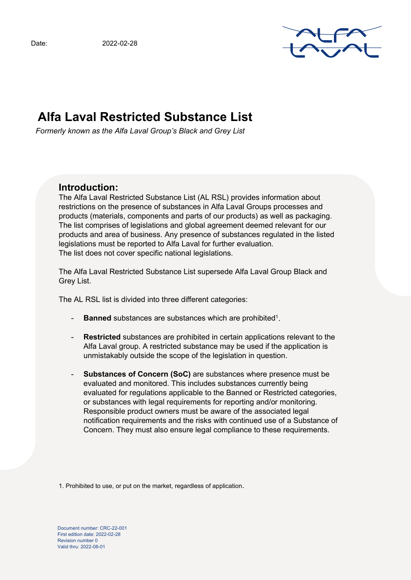

# **Alfa Laval Restricted Substance List**

*Formerly known as the Alfa Laval Group's Black and Grey List*

# **Introduction:**

The Alfa Laval Restricted Substance List (AL RSL) provides information about restrictions on the presence of substances in Alfa Laval Groups processes and products (materials, components and parts of our products) as well as packaging. The list comprises of legislations and global agreement deemed relevant for our products and area of business. Any presence of substances regulated in the listed legislations must be reported to Alfa Laval for further evaluation. The list does not cover specific national legislations.

The Alfa Laval Restricted Substance List supersede Alfa Laval Group Black and Grey List.

The AL RSL list is divided into three different categories:

- **Banned** substances are substances which are prohibited<sup>1</sup>.
- **Restricted** substances are prohibited in certain applications relevant to the Alfa Laval group. A restricted substance may be used if the application is unmistakably outside the scope of the legislation in question.
- **Substances of Concern (SoC)** are substances where presence must be evaluated and monitored. This includes substances currently being evaluated for regulations applicable to the Banned or Restricted categories, or substances with legal requirements for reporting and/or monitoring. Responsible product owners must be aware of the associated legal notification requirements and the risks with continued use of a Substance of Concern. They must also ensure legal compliance to these requirements.

1. Prohibited to use, or put on the market, regardless of application.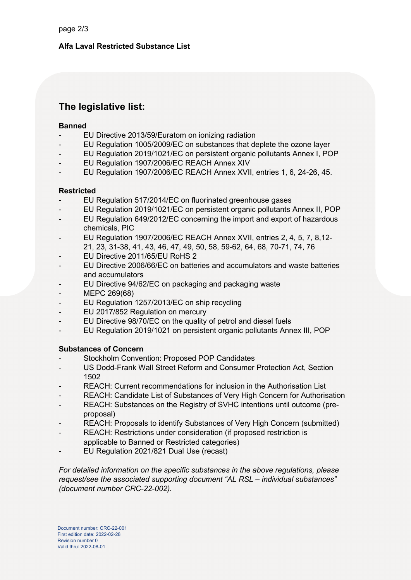# **Alfa Laval Restricted Substance List**

# **The legislative list:**

#### **Banned**

- EU Directive 2013/59/Euratom on ionizing radiation
- EU Regulation 1005/2009/EC on substances that deplete the ozone layer
- EU Regulation 2019/1021/EC on persistent organic pollutants Annex I, POP
- EU Regulation 1907/2006/EC REACH Annex XIV
- EU Regulation 1907/2006/EC REACH Annex XVII, entries 1, 6, 24-26, 45.

# **Restricted**

- EU Regulation 517/2014/EC on fluorinated greenhouse gases
- EU Regulation 2019/1021/EC on persistent organic pollutants Annex II, POP
- EU Regulation 649/2012/EC concerning the import and export of hazardous chemicals, PIC
- EU Regulation 1907/2006/EC REACH Annex XVII, entries 2, 4, 5, 7, 8,12-
- 21, 23, 31-38, 41, 43, 46, 47, 49, 50, 58, 59-62, 64, 68, 70-71, 74, 76
- EU Directive 2011/65/EU RoHS 2
- EU Directive 2006/66/EC on batteries and accumulators and waste batteries and accumulators
- EU Directive 94/62/EC on packaging and packaging waste
- MEPC 269(68)
- EU Regulation 1257/2013/EC on ship recycling
- EU 2017/852 Regulation on mercury
- EU Directive 98/70/EC on the quality of petrol and diesel fuels
- EU Regulation 2019/1021 on persistent organic pollutants Annex III, POP

# **Substances of Concern**

- Stockholm Convention: Proposed POP Candidates
- US Dodd-Frank Wall Street Reform and Consumer Protection Act, Section 1502
- REACH: Current recommendations for inclusion in the Authorisation List
- REACH: Candidate List of Substances of Very High Concern for Authorisation
- REACH: Substances on the Registry of SVHC intentions until outcome (preproposal)
- REACH: Proposals to identify Substances of Very High Concern (submitted)
- REACH: Restrictions under consideration (if proposed restriction is applicable to Banned or Restricted categories)
- EU Regulation 2021/821 Dual Use (recast)

*For detailed information on the specific substances in the above regulations, please request/see the associated supporting document "AL RSL – individual substances" (document number CRC-22-002).*